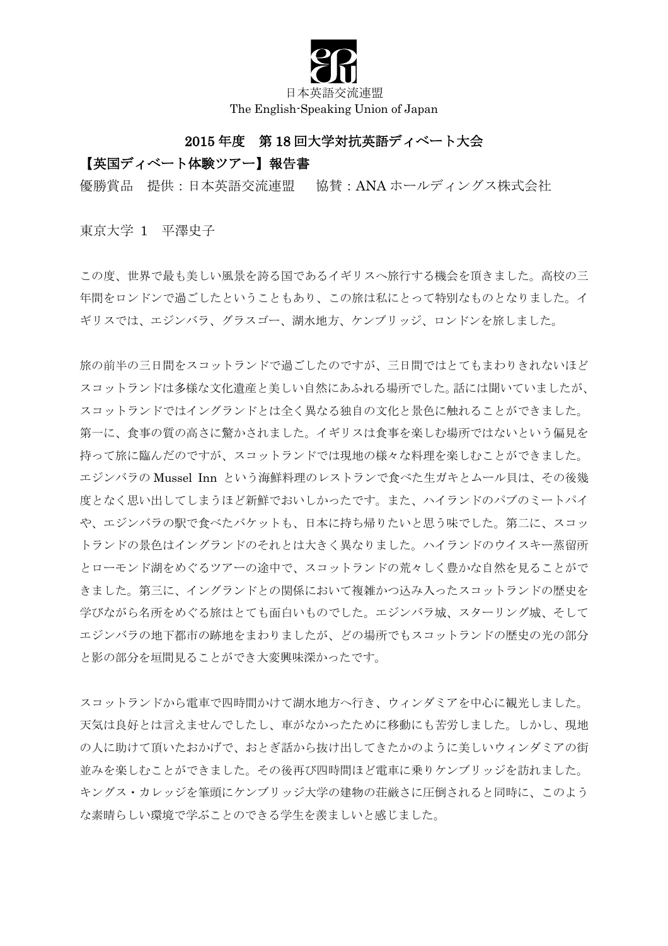

日本英語交流連盟 The English-Speaking Union of Japan

## 2015 年度 第 18 回大学対抗英語ディベート大会

## 【英国ディベート体験ツアー】報告書

優勝賞品 提供:日本英語交流連盟 協賛:ANA ホールディングス株式会社

東京大学 1 平澤史子

この度、世界で最も美しい風景を誇る国であるイギリスへ旅行する機会を頂きました。高校の三 年間をロンドンで過ごしたということもあり、この旅は私にとって特別なものとなりました。イ ギリスでは、エジンバラ、グラスゴー、湖水地方、ケンブリッジ、ロンドンを旅しました。

旅の前半の三日間をスコットランドで過ごしたのですが、三日間ではとてもまわりきれないほど スコットランドは多様な文化遺産と美しい自然にあふれる場所でした。話には聞いていましたが、 スコットランドではイングランドとは全く異なる独自の文化と景色に触れることができました。 第一に、食事の質の高さに驚かされました。イギリスは食事を楽しむ場所ではないという偏見を 持って旅に臨んだのですが、スコットランドでは現地の様々な料理を楽しむことができました。 エジンバラの Mussel Inn という海鮮料理のレストランで食べた生ガキとムール貝は、その後幾 度となく思い出してしまうほど新鮮でおいしかったです。また、ハイランドのパブのミートパイ や、エジンバラの駅で食べたバケットも、日本に持ち帰りたいと思う味でした。第二に、スコッ トランドの景色はイングランドのそれとは大きく異なりました。ハイランドのウイスキー蒸留所 とローモンド湖をめぐるツアーの途中で、スコットランドの荒々しく豊かな自然を見ることがで きました。第三に、イングランドとの関係において複雑かつ込み入ったスコットランドの歴史を 学びながら名所をめぐる旅はとても面白いものでした。エジンバラ城、スターリング城、そして エジンバラの地下都市の跡地をまわりましたが、どの場所でもスコットランドの歴史の光の部分 と影の部分を垣間見ることができ大変興味深かったです。

スコットランドから電車で四時間かけて湖水地方へ行き、ウィンダミアを中心に観光しました。 天気は良好とは言えませんでしたし、車がなかったために移動にも苦労しました。しかし、現地 の人に助けて頂いたおかげで、おとぎ話から抜け出してきたかのように美しいウィンダミアの街 並みを楽しむことができました。その後再び四時間ほど電車に乗りケンブリッジを訪れました。 キングス・カレッジを筆頭にケンブリッジ大学の建物の荘厳さに圧倒されると同時に、このよう な素晴らしい環境で学ぶことのできる学生を羨ましいと感じました。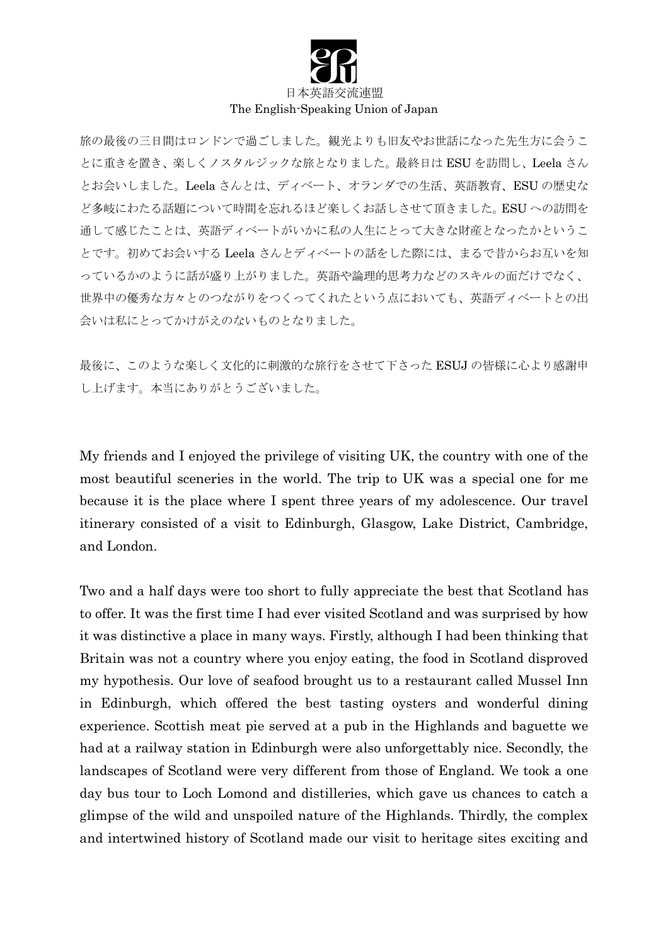

## 日本英語交流連盟 The English-Speaking Union of Japan

旅の最後の三日間はロンドンで過ごしました。観光よりも旧友やお世話になった先生方に会うこ とに重きを置き、楽しくノスタルジックな旅となりました。最終日は ESU を訪問し、Leela さん とお会いしました。Leela さんとは、ディベート、オランダでの生活、英語教育、ESU の歴史な ど多岐にわたる話題について時間を忘れるほど楽しくお話しさせて頂きました。ESU への訪問を 通して感じたことは、英語ディベートがいかに私の人生にとって大きな財産となったかというこ とです。初めてお会いする Leela さんとディベートの話をした際には、まるで昔からお互いを知 っているかのように話が盛り上がりました。英語や論理的思考力などのスキルの面だけでなく、 世界中の優秀な方々とのつながりをつくってくれたという点においても、英語ディベートとの出 会いは私にとってかけがえのないものとなりました。

最後に、このような楽しく文化的に刺激的な旅行をさせて下さった ESUJ の皆様に心より感謝申 し上げます。本当にありがとうございました。

My friends and I enjoyed the privilege of visiting UK, the country with one of the most beautiful sceneries in the world. The trip to UK was a special one for me because it is the place where I spent three years of my adolescence. Our travel itinerary consisted of a visit to Edinburgh, Glasgow, Lake District, Cambridge, and London.

Two and a half days were too short to fully appreciate the best that Scotland has to offer. It was the first time I had ever visited Scotland and was surprised by how it was distinctive a place in many ways. Firstly, although I had been thinking that Britain was not a country where you enjoy eating, the food in Scotland disproved my hypothesis. Our love of seafood brought us to a restaurant called Mussel Inn in Edinburgh, which offered the best tasting oysters and wonderful dining experience. Scottish meat pie served at a pub in the Highlands and baguette we had at a railway station in Edinburgh were also unforgettably nice. Secondly, the landscapes of Scotland were very different from those of England. We took a one day bus tour to Loch Lomond and distilleries, which gave us chances to catch a glimpse of the wild and unspoiled nature of the Highlands. Thirdly, the complex and intertwined history of Scotland made our visit to heritage sites exciting and